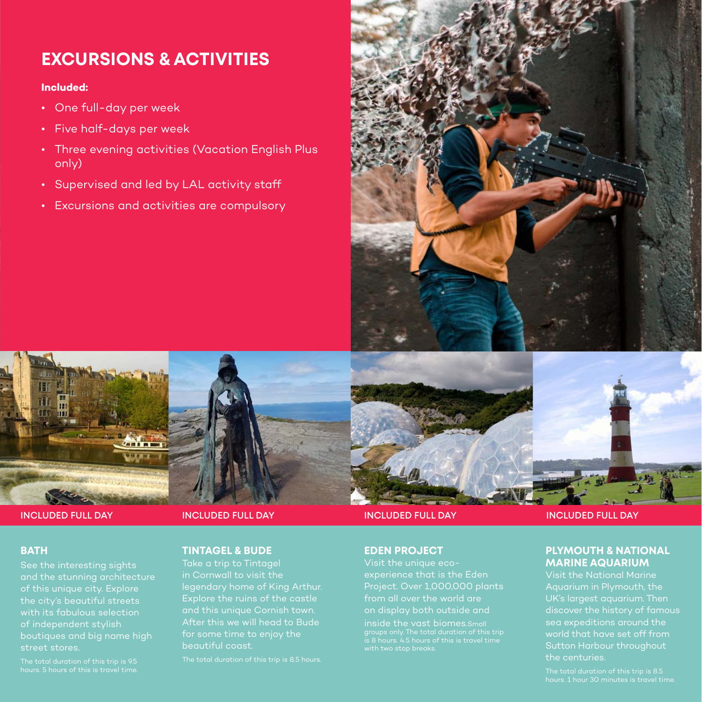# **EXCURSIONS & ACTIVITIES**

### **Included:**

- One full-day per week
- Five half-days per week
- Three evening activities (Vacation English Plus only)
- Supervised and led by LAL activity staff
- Excursions and activities are compulsory



# **BATH**

See the interesting sights and the stunning architecture of this unique city. Explore the city's beautiful streets with its fabulous selection of independent stylish street stores.

**INCLUDED FULL DAY INCLUDED FULL DAY**

# **TINTAGEL & BUDE**

Take a trip to Tintagel and this unique Cornish town. After this we will head to Bude for some time to enjoy the beautiful coast.



### **EDEN PROJECT**

Visit the unique ecoexperience that is the Eden Project. Over 1,000,000 plants from all over the world are on display both outside and

inside the vast biomes.Small

#### **INCLUDED FULL DAY INCLUDED FULL DAY**

# **PLYMOUTH & NATIONAL MARINE AQUARIUM**

sea expeditions around the world that have set off from Sutton Harbour throughout the centuries.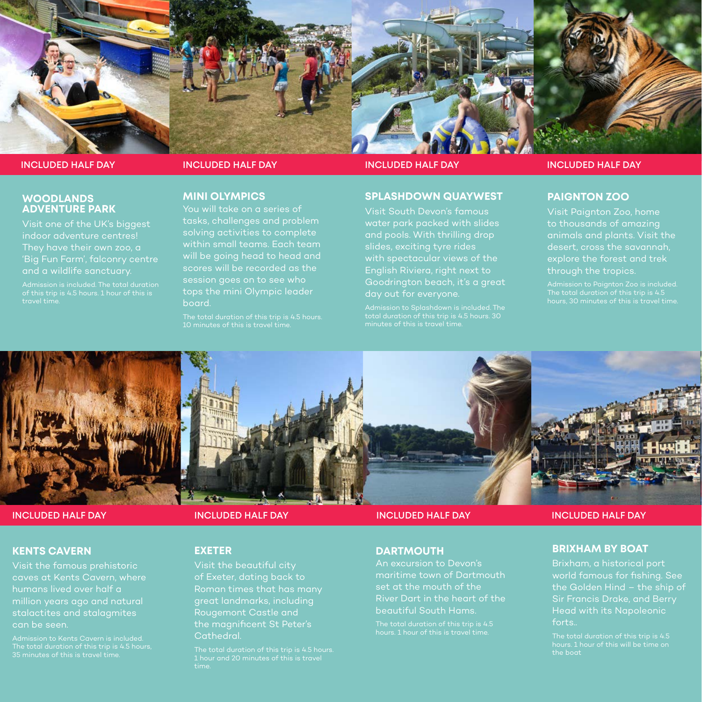

**INCLUDED HALF DAY**

#### **WOODLANDS ADVENTURE PARK**

Visit one of the UK's biggest indoor adventure centres! and a wildlife sanctuary.

# **MINI OLYMPICS**

You will take on a series of tasks, challenges and problem solving activities to complete within small teams. Each team will be going head to head and scores will be recorded as the session goes on to see who board.

The total duration of this trip is 4.5 hours. 10 minutes of this is travel time.

#### **INCLUDED HALF DAY INCLUDED HALF DAY INCLUDED HALF DAY**

### **SPLASHDOWN QUAYWEST**

Visit South Devon's famous water park packed with slides slides, exciting tyre rides with spectacular views of the Goodrington beach, it's a great

# **PAIGNTON ZOO**

animals and plants. Visit the desert, cross the savannah, explore the forest and trek through the tropics.





### **KENTS CAVERN**

Visit the famous prehistoric caves at Kents Cavern, where humans lived over half a million years ago and natural can be seen.

**INCLUDED HALF DAY**

# **EXETER**

Visit the beautiful city of Exeter, dating back to great landmarks, including Rougemont Castle and Cathedral.

**INCLUDED HALF DAY INCLUDED HALF DAY INCLUDED HALF DAY**

# **DARTMOUTH**

An excursion to Devon's maritime town of Dartmouth River Dart in the heart of the beautiful South Hams.

#### **BRIXHAM BY BOAT**

Brixham, a historical port world famous for fishing. See the Golden Hind – the ship of Sir Francis Drake, and Berry forts..

the boat